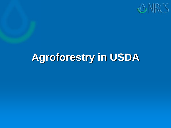

## **Agroforestry in USDA**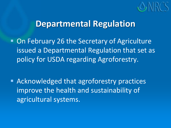

■ On February 26 the Secretary of Agriculture issued a Departmental Regulation that set as policy for USDA regarding Agroforestry.

■ Acknowledged that agroforestry practices improve the health and sustainability of agricultural systems.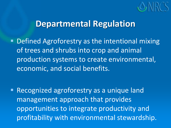

**• Defined Agroforestry as the intentional mixing** of trees and shrubs into crop and animal production systems to create environmental, economic, and social benefits.

**Recognized agroforestry as a unique land** management approach that provides opportunities to integrate productivity and profitability with environmental stewardship.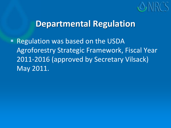

■ Regulation was based on the USDA Agroforestry Strategic Framework, Fiscal Year 2011-2016 (approved by Secretary Vilsack) May 2011.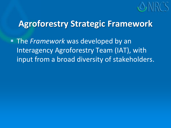

 The *Framework* was developed by an Interagency Agroforestry Team (IAT), with input from a broad diversity of stakeholders.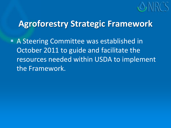

**A Steering Committee was established in** October 2011 to guide and facilitate the resources needed within USDA to implement the Framework.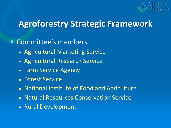

#### Committee's members

- Agricultural Marketing Service
- Agricultural Research Service
- Farm Service Agency
- Forest Service
- National Institute of Food and Agriculture
- Natural Resources Conservation Service
- Rural Development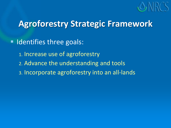

**Indentifies three goals:** 

- 1. Increase use of agroforestry
- 2. Advance the understanding and tools
- 3. Incorporate agroforestry into an all-lands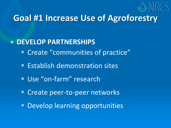

## **Goal #1 Increase Use of Agroforestry**

#### **DEVELOP PARTNERSHIPS**

- **Example 2** Create "communities of practice"
- **Establish demonstration sites**
- **Use "on-farm" research**
- **Create peer-to-peer networks**
- **Develop learning opportunities**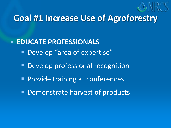

## **Goal #1 Increase Use of Agroforestry**

#### **EDUCATE PROFESSIONALS**

- **Develop** "area of expertise"
- **Develop professional recognition**
- **Provide training at conferences**
- **Demonstrate harvest of products**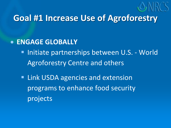

## **Goal #1 Increase Use of Agroforestry**

#### **ENGAGE GLOBALLY**

- **Initiate partnerships between U.S. World** Agroforestry Centre and others
- **Example 1 Link USDA agencies and extension** programs to enhance food security projects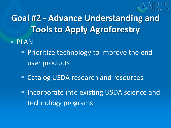

**Goal #2 - Advance Understanding and Tools to Apply Agroforestry**

- PLAN
	- **Prioritize technology to improve the end**user products
	- **Example 2 Catalog USDA research and resources**
	- **Incorporate into existing USDA science and** technology programs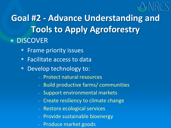

**Goal #2 - Advance Understanding and Tools to Apply Agroforestry • DISCOVER** 

- Frame priority issues
- **Facilitate access to data**
- Develop technology to:
	- Protect natural resources
	- Build productive farms/ communities
	- Support environmental markets
	- Create resiliency to climate change
	- Restore ecological services
	- Provide sustainable bioenergy
	- Produce market goods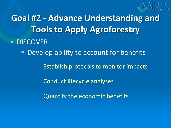

**Goal #2 - Advance Understanding and Tools to Apply Agroforestry • DISCOVER** 

■ Develop ability to account for benefits

- Establish protocols to monitor impacts

- Conduct lifecycle analyses

Quantify the economic benefits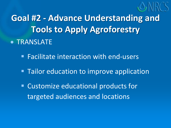

**Goal #2 - Advance Understanding and Tools to Apply Agroforestry • TRANSLATE** 

**Facilitate interaction with end-users** 

**Tailor education to improve application** 

 Customize educational products for targeted audiences and locations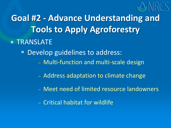

**Goal #2 - Advance Understanding and Tools to Apply Agroforestry • TRANSLATE Develop guidelines to address:** 

- Multi-function and multi-scale design
- Address adaptation to climate change
- Meet need of limited resource landowners
- Critical habitat for wildlife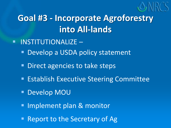

- **INSTITUTIONALIZE** 
	- Develop a USDA policy statement
	- **Direct agencies to take steps**
	- **Establish Executive Steering Committee**
	- Develop MOU
	- **Implement plan & monitor**
	- Report to the Secretary of Ag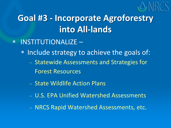

- **INSTITUTIONALIZE** 
	- Include strategy to achieve the goals of:
		- Statewide Assessments and Strategies for Forest Resources
		- State Wildlife Action Plans
		- U.S. EPA Unified Watershed Assessments
		- NRCS Rapid Watershed Assessments, etc.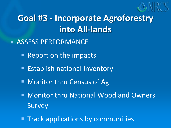

- **ASSESS PERFORMANCE** 
	- Report on the impacts
	- **Establish national inventory**
	- Monitor thru Census of Ag
	- Monitor thru National Woodland Owners Survey
	- **Track applications by communities**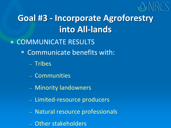

- COMMUNICATE RESULTS
	- Communicate benefits with:
		- Tribes
		- Communities
		- Minority landowners
		- Limited-resource producers
		- Natural resource professionals
		- Other stakeholders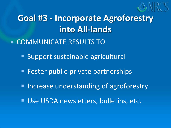

- COMMUNICATE RESULTS TO
	- **Support sustainable agricultural**
	- **Foster public-private partnerships**
	- **Increase understanding of agroforestry**
	- **Use USDA newsletters, bulletins, etc.**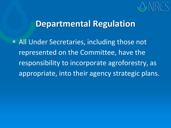

**All Under Secretaries, including those not** represented on the Committee, have the responsibility to incorporate agroforestry, as appropriate, into their agency strategic plans.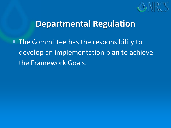

**The Committee has the responsibility to** develop an implementation plan to achieve the Framework Goals.